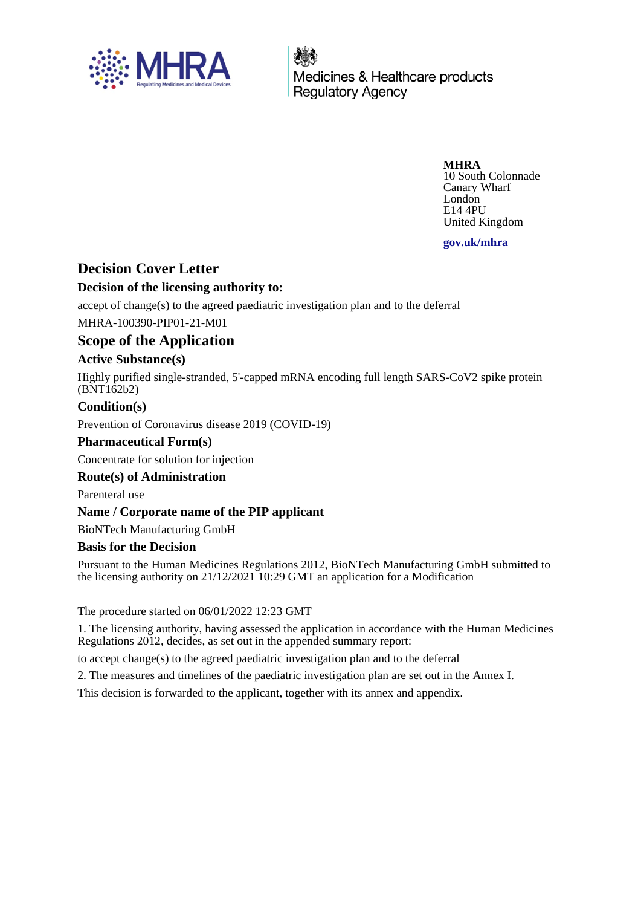

Medicines & Healthcare products **Regulatory Agency** 

> **MHRA** 10 South Colonnade

Canary Wharf London E14 4PU United Kingdom

**gov.uk/mhra**

# **Decision Cover Letter**

# **Decision of the licensing authority to:**

accept of change(s) to the agreed paediatric investigation plan and to the deferral MHRA-100390-PIP01-21-M01

# **Scope of the Application**

## **Active Substance(s)**

Highly purified single-stranded, 5'-capped mRNA encoding full length SARS-CoV2 spike protein (BNT162b2)

## **Condition(s)**

Prevention of Coronavirus disease 2019 (COVID-19)

## **Pharmaceutical Form(s)**

Concentrate for solution for injection

## **Route(s) of Administration**

Parenteral use

## **Name / Corporate name of the PIP applicant**

BioNTech Manufacturing GmbH

## **Basis for the Decision**

Pursuant to the Human Medicines Regulations 2012, BioNTech Manufacturing GmbH submitted to the licensing authority on 21/12/2021 10:29 GMT an application for a Modification

The procedure started on 06/01/2022 12:23 GMT

1. The licensing authority, having assessed the application in accordance with the Human Medicines Regulations 2012, decides, as set out in the appended summary report:

to accept change(s) to the agreed paediatric investigation plan and to the deferral

2. The measures and timelines of the paediatric investigation plan are set out in the Annex I.

This decision is forwarded to the applicant, together with its annex and appendix.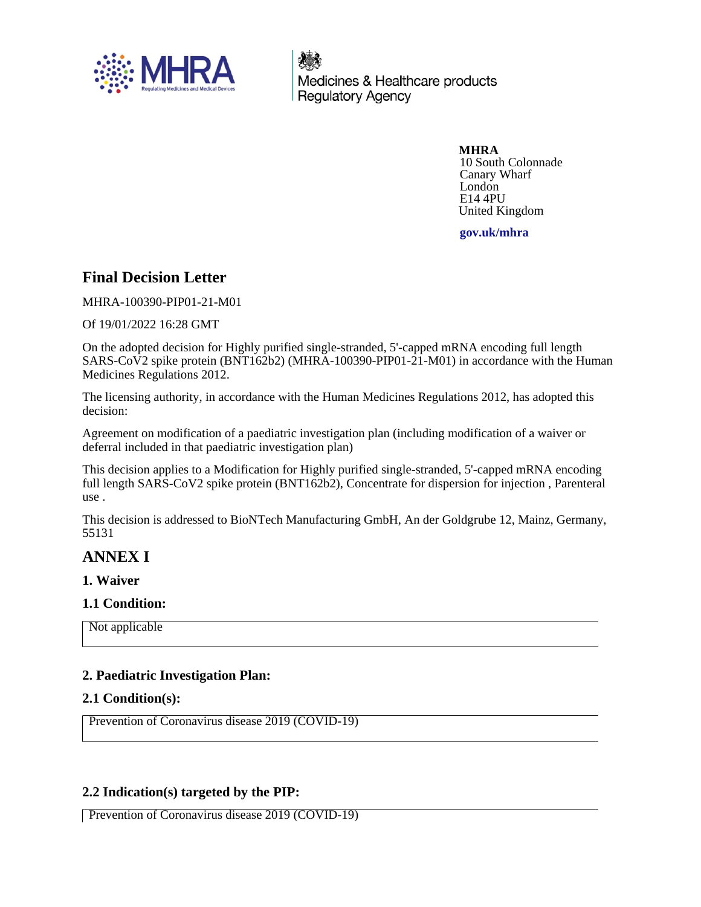

Medicines & Healthcare products **Regulatory Agency** 

> **MHRA** 10 South Colonnade Canary Wharf London E14 4PU United Kingdom

**gov.uk/mhra**

# **Final Decision Letter**

MHRA-100390-PIP01-21-M01

Of 19/01/2022 16:28 GMT

On the adopted decision for Highly purified single-stranded, 5'-capped mRNA encoding full length SARS-CoV2 spike protein (BNT162b2) (MHRA-100390-PIP01-21-M01) in accordance with the Human Medicines Regulations 2012.

The licensing authority, in accordance with the Human Medicines Regulations 2012, has adopted this decision:

Agreement on modification of a paediatric investigation plan (including modification of a waiver or deferral included in that paediatric investigation plan)

This decision applies to a Modification for Highly purified single-stranded, 5'-capped mRNA encoding full length SARS-CoV2 spike protein (BNT162b2), Concentrate for dispersion for injection , Parenteral use .

This decision is addressed to BioNTech Manufacturing GmbH, An der Goldgrube 12, Mainz, Germany, 55131

# **ANNEX I**

**1. Waiver**

#### **1.1 Condition:**

Not applicable

## **2. Paediatric Investigation Plan:**

#### **2.1 Condition(s):**

Prevention of Coronavirus disease 2019 (COVID-19)

## **2.2 Indication(s) targeted by the PIP:**

Prevention of Coronavirus disease 2019 (COVID-19)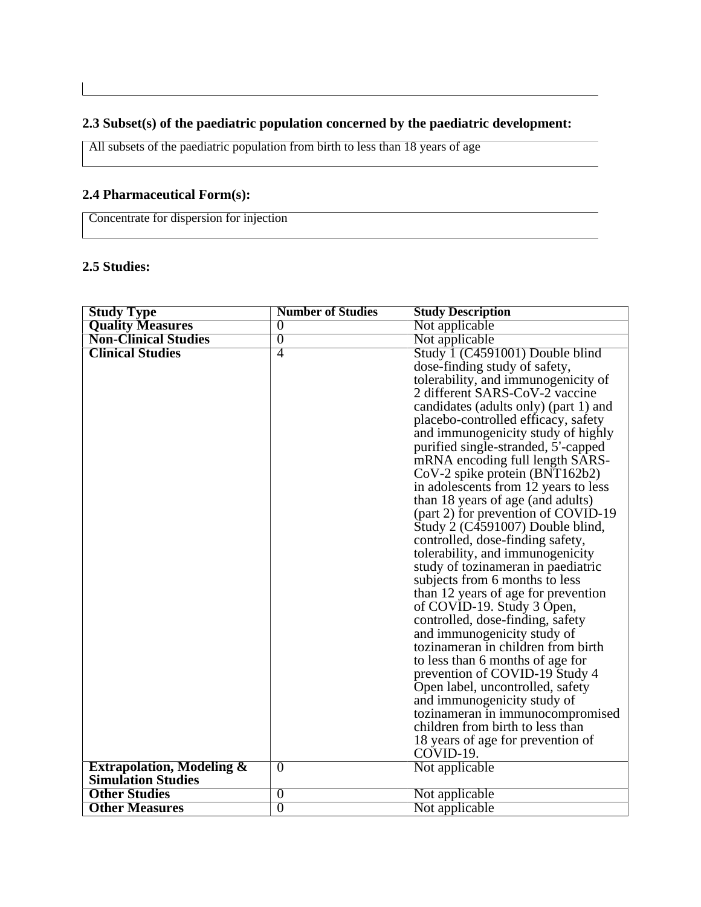# **2.3 Subset(s) of the paediatric population concerned by the paediatric development:**

All subsets of the paediatric population from birth to less than 18 years of age

# **2.4 Pharmaceutical Form(s):**

Concentrate for dispersion for injection

# **2.5 Studies:**

| <b>Study Type</b>                    | <b>Number of Studies</b> | <b>Study Description</b>                                             |
|--------------------------------------|--------------------------|----------------------------------------------------------------------|
| <b>Quality Measures</b>              | $\theta$                 | Not applicable                                                       |
| <b>Non-Clinical Studies</b>          | $\overline{0}$           | Not applicable                                                       |
| <b>Clinical Studies</b>              | 4                        | Study 1 (C4591001) Double blind                                      |
|                                      |                          | dose-finding study of safety,                                        |
|                                      |                          | tolerability, and immunogenicity of                                  |
|                                      |                          | 2 different SARS-CoV-2 vaccine                                       |
|                                      |                          | candidates (adults only) (part 1) and                                |
|                                      |                          | placebo-controlled efficacy, safety                                  |
|                                      |                          | and immunogenicity study of highly                                   |
|                                      |                          | purified single-stranded, 5'-capped                                  |
|                                      |                          | mRNA encoding full length SARS-                                      |
|                                      |                          | CoV-2 spike protein (BNT162b2)                                       |
|                                      |                          | in adolescents from 12 years to less                                 |
|                                      |                          | than 18 years of age (and adults)                                    |
|                                      |                          | (part 2) for prevention of COVID-19                                  |
|                                      |                          | Study 2 (C4591007) Double blind,                                     |
|                                      |                          | controlled, dose-finding safety,                                     |
|                                      |                          | tolerability, and immunogenicity                                     |
|                                      |                          | study of tozinameran in paediatric                                   |
|                                      |                          | subjects from 6 months to less                                       |
|                                      |                          | than 12 years of age for prevention                                  |
|                                      |                          | of COVID-19. Study 3 Open,                                           |
|                                      |                          | controlled, dose-finding, safety                                     |
|                                      |                          | and immunogenicity study of                                          |
|                                      |                          | tozinameran in children from birth                                   |
|                                      |                          | to less than 6 months of age for                                     |
|                                      |                          | prevention of COVID-19 Study 4                                       |
|                                      |                          | Open label, uncontrolled, safety                                     |
|                                      |                          | and immunogenicity study of                                          |
|                                      |                          | tozinameran in immunocompromised<br>children from birth to less than |
|                                      |                          |                                                                      |
|                                      |                          | 18 years of age for prevention of<br>$COVID-19.$                     |
| <b>Extrapolation, Modeling &amp;</b> | $\overline{0}$           | Not applicable                                                       |
| <b>Simulation Studies</b>            |                          |                                                                      |
| <b>Other Studies</b>                 | $\overline{0}$           | Not applicable                                                       |
| <b>Other Measures</b>                | $\overline{0}$           | Not applicable                                                       |